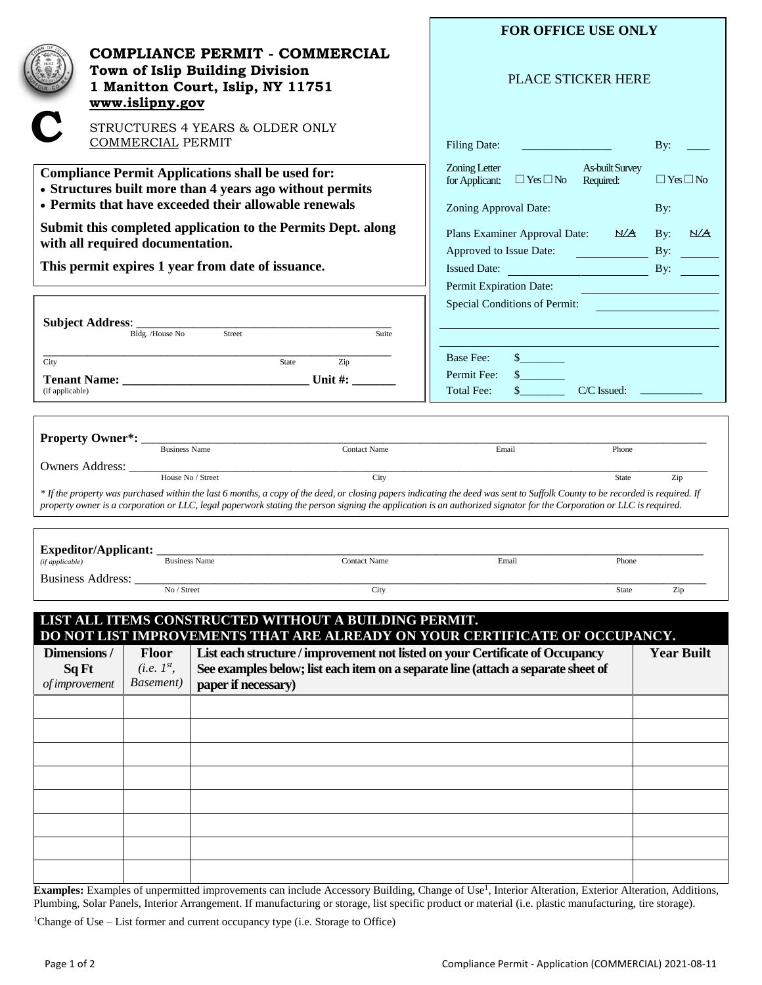| <b>COMPLIANCE PERMIT - COMMERCIAL</b>                                                                                                                                                                                                                                                                                                                                              | <b>FOR OFFICE USE ONLY</b><br><b>PLACE STICKER HERE</b>                                                                                                                                                                                               |  |
|------------------------------------------------------------------------------------------------------------------------------------------------------------------------------------------------------------------------------------------------------------------------------------------------------------------------------------------------------------------------------------|-------------------------------------------------------------------------------------------------------------------------------------------------------------------------------------------------------------------------------------------------------|--|
| Town of Islip Building Division<br>1 Manitton Court, Islip, NY 11751<br>www.islipny.gov                                                                                                                                                                                                                                                                                            |                                                                                                                                                                                                                                                       |  |
| STRUCTURES 4 YEARS & OLDER ONLY<br><b>COMMERCIAL PERMIT</b>                                                                                                                                                                                                                                                                                                                        | <b>Filing Date:</b><br><u> 1980 - Andrea Station, amerikansk politik (</u><br>By:                                                                                                                                                                     |  |
| <b>Compliance Permit Applications shall be used for:</b><br>• Structures built more than 4 years ago without permits<br>• Permits that have exceeded their allowable renewals<br>Submit this completed application to the Permits Dept. along<br>with all required documentation.<br>This permit expires 1 year from date of issuance.                                             | Zoning Letter<br><b>As-built Survey</b><br>$\Box$ Yes $\Box$ No<br>$\Box$ Yes $\Box$ No<br>for Applicant:<br>Required:<br>Zoning Approval Date:<br>By:<br>Plans Examiner Approval Date: N/A<br>By:<br><u>N/A</u><br>Approved to Issue Date:<br>By:    |  |
|                                                                                                                                                                                                                                                                                                                                                                                    | Permit Expiration Date:<br><u> 1989 - Johann Stein, mars an t-Amerikaansk kommunister (</u><br>Special Conditions of Permit:<br><u> 1989 - Johann Barn, mars ann an t-Alban ann an t-Alban ann an t-Alban ann an t-Alban ann an t-Alban ann an t-</u> |  |
| Street<br>Bldg. /House No<br>Suite                                                                                                                                                                                                                                                                                                                                                 |                                                                                                                                                                                                                                                       |  |
| Zip<br>State<br>City<br>(if applicable)                                                                                                                                                                                                                                                                                                                                            | $\frac{1}{2}$<br>Base Fee:<br>$\frac{1}{2}$<br>Permit Fee:<br>$\frac{1}{2}$<br><b>Total Fee:</b><br>$C/C$ Issued: $\qquad \qquad \qquad$                                                                                                              |  |
| <b>Property Owner*:</b> Business Name<br><b>Contact Name</b>                                                                                                                                                                                                                                                                                                                       | Email<br>Phone                                                                                                                                                                                                                                        |  |
| House No / Street<br>City<br>* If the property was purchased within the last 6 months, a copy of the deed, or closing papers indicating the deed was sent to Suffolk County to be recorded is required. If<br>property owner is a corporation or LLC, legal paperwork stating the person signing the application is an authorized signator for the Corporation or LLC is required. | Zip<br>State                                                                                                                                                                                                                                          |  |
| Expeditor/Applicant: _<br><b>Business Name</b><br>Contact Name<br>(if applicable)                                                                                                                                                                                                                                                                                                  | Email<br>Phone                                                                                                                                                                                                                                        |  |
| Business Address:<br>No / Street<br>City                                                                                                                                                                                                                                                                                                                                           | Zip<br>State                                                                                                                                                                                                                                          |  |
| LIST ALL ITEMS CONSTRUCTED WITHOUT A BUILDING PERMIT.<br>DO NOT LIST IMPROVEMENTS THAT ARE ALREADY ON YOUR CERTIFICATE OF OCCUPANCY.                                                                                                                                                                                                                                               |                                                                                                                                                                                                                                                       |  |
| Dimensions /<br>List each structure / improvement not listed on your Certificate of Occupancy<br><b>Floor</b><br>(i.e. I <sup>st</sup> )<br>See examples below; list each item on a separate line (attach a separate sheet of<br>Sq Ft<br><i>Basement</i> )<br>paper if necessary)<br>of improvement                                                                               | <b>Year Built</b>                                                                                                                                                                                                                                     |  |
|                                                                                                                                                                                                                                                                                                                                                                                    |                                                                                                                                                                                                                                                       |  |
| <b>Evamples:</b> Evamples of unpermitted improvements can include Accessory Building Change of Use I Interior Alteration Exterior Alteration Additions                                                                                                                                                                                                                             |                                                                                                                                                                                                                                                       |  |

**Examples:** Examples of unpermitted improvements can include Accessory Building, Change of Use<sup>1</sup>, Interior Alteration, Exterior Alteration, Additions, Plumbing, Solar Panels, Interior Arrangement. If manufacturing or storage, list specific product or material (i.e. plastic manufacturing, tire storage).

<sup>1</sup>Change of Use – List former and current occupancy type (i.e. Storage to Office)